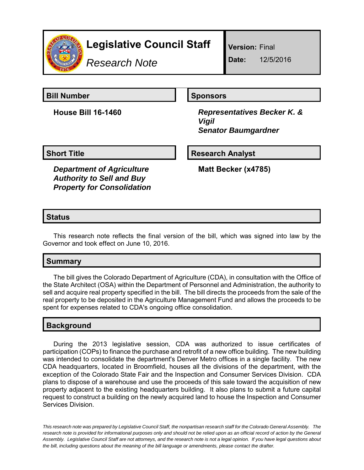

# **Legislative Council Staff**

*Research Note*

**Version:** Final

**Date:** 12/5/2016

**Bill Number Sponsors** 

**House Bill 16-1460** *Representatives Becker K. & Vigil Senator Baumgardner*

**Short Title Research Analyst** 

*Department of Agriculture Authority to Sell and Buy Property for Consolidation* **Matt Becker (x4785)**

## **Status**

This research note reflects the final version of the bill, which was signed into law by the Governor and took effect on June 10, 2016.

### **Summary**

The bill gives the Colorado Department of Agriculture (CDA), in consultation with the Office of the State Architect (OSA) within the Department of Personnel and Administration, the authority to sell and acquire real property specified in the bill. The bill directs the proceeds from the sale of the real property to be deposited in the Agriculture Management Fund and allows the proceeds to be spent for expenses related to CDA's ongoing office consolidation.

# **Background**

During the 2013 legislative session, CDA was authorized to issue certificates of participation (COPs) to finance the purchase and retrofit of a new office building. The new building was intended to consolidate the department's Denver Metro offices in a single facility. The new CDA headquarters, located in Broomfield, houses all the divisions of the department, with the exception of the Colorado State Fair and the Inspection and Consumer Services Division. CDA plans to dispose of a warehouse and use the proceeds of this sale toward the acquisition of new property adjacent to the existing headquarters building. It also plans to submit a future capital request to construct a building on the newly acquired land to house the Inspection and Consumer Services Division.

*This research note was prepared by Legislative Council Staff, the nonpartisan research staff for the Colorado General Assembly. The research note is provided for informational purposes only and should not be relied upon as an official record of action by the General Assembly. Legislative Council Staff are not attorneys, and the research note is not a legal opinion. If you have legal questions about the bill, including questions about the meaning of the bill language or amendments, please contact the drafter.*